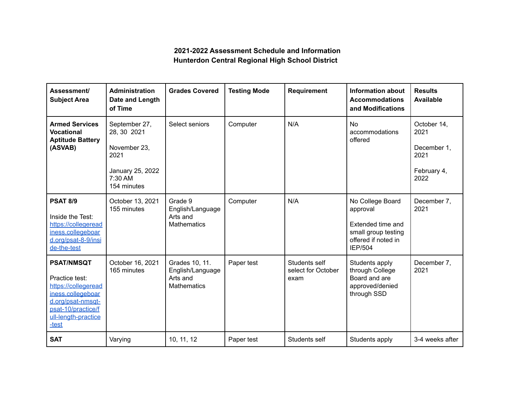## **2021-2022 Assessment Schedule and Information Hunterdon Central Regional High School District**

| Assessment/<br><b>Subject Area</b>                                                                                                                         | <b>Administration</b><br>Date and Length<br>of Time                                                | <b>Grades Covered</b>                                                | <b>Testing Mode</b> | <b>Requirement</b>                          | <b>Information about</b><br><b>Accommodations</b><br>and Modifications                                            | <b>Results</b><br><b>Available</b>                                |
|------------------------------------------------------------------------------------------------------------------------------------------------------------|----------------------------------------------------------------------------------------------------|----------------------------------------------------------------------|---------------------|---------------------------------------------|-------------------------------------------------------------------------------------------------------------------|-------------------------------------------------------------------|
| <b>Armed Services</b><br><b>Vocational</b><br><b>Aptitude Battery</b><br>(ASVAB)                                                                           | September 27,<br>28, 30 2021<br>November 23,<br>2021<br>January 25, 2022<br>7:30 AM<br>154 minutes | Select seniors                                                       | Computer            | N/A                                         | <b>No</b><br>accommodations<br>offered                                                                            | October 14,<br>2021<br>December 1,<br>2021<br>February 4,<br>2022 |
| <b>PSAT 8/9</b><br>Inside the Test:<br>https://collegeread<br>iness.collegeboar<br>d.org/psat-8-9/insi<br>de-the-test                                      | October 13, 2021<br>155 minutes                                                                    | Grade 9<br>English/Language<br>Arts and<br><b>Mathematics</b>        | Computer            | N/A                                         | No College Board<br>approval<br>Extended time and<br>small group testing<br>offered if noted in<br><b>IEP/504</b> | December 7,<br>2021                                               |
| <b>PSAT/NMSQT</b><br>Practice test:<br>https://collegeread<br>iness.collegeboar<br>d.org/psat-nmsqt-<br>psat-10/practice/f<br>ull-length-practice<br>-test | October 16, 2021<br>165 minutes                                                                    | Grades 10, 11.<br>English/Language<br>Arts and<br><b>Mathematics</b> | Paper test          | Students self<br>select for October<br>exam | Students apply<br>through College<br>Board and are<br>approved/denied<br>through SSD                              | December 7,<br>2021                                               |
| <b>SAT</b>                                                                                                                                                 | Varying                                                                                            | 10, 11, 12                                                           | Paper test          | Students self                               | Students apply                                                                                                    | 3-4 weeks after                                                   |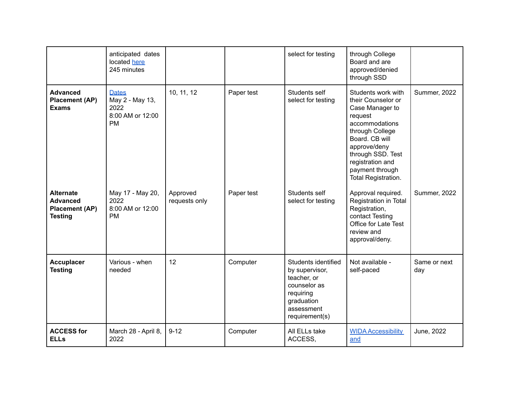|                                                                                | anticipated dates<br>located here<br>245 minutes                         |                           |            | select for testing                                                                                                              | through College<br>Board and are<br>approved/denied<br>through SSD                                                                                                                                                                      |                     |
|--------------------------------------------------------------------------------|--------------------------------------------------------------------------|---------------------------|------------|---------------------------------------------------------------------------------------------------------------------------------|-----------------------------------------------------------------------------------------------------------------------------------------------------------------------------------------------------------------------------------------|---------------------|
| <b>Advanced</b><br><b>Placement (AP)</b><br><b>Exams</b>                       | <b>Dates</b><br>May 2 - May 13,<br>2022<br>8:00 AM or 12:00<br><b>PM</b> | 10, 11, 12                | Paper test | Students self<br>select for testing                                                                                             | Students work with<br>their Counselor or<br>Case Manager to<br>request<br>accommodations<br>through College<br>Board. CB will<br>approve/deny<br>through SSD. Test<br>registration and<br>payment through<br><b>Total Registration.</b> | Summer, 2022        |
| <b>Alternate</b><br><b>Advanced</b><br><b>Placement (AP)</b><br><b>Testing</b> | May 17 - May 20,<br>2022<br>8:00 AM or 12:00<br><b>PM</b>                | Approved<br>requests only | Paper test | Students self<br>select for testing                                                                                             | Approval required.<br>Registration in Total<br>Registration,<br>contact Testing<br><b>Office for Late Test</b><br>review and<br>approval/deny.                                                                                          | <b>Summer, 2022</b> |
| <b>Accuplacer</b><br><b>Testing</b>                                            | Various - when<br>needed                                                 | 12                        | Computer   | Students identified<br>by supervisor,<br>teacher, or<br>counselor as<br>requiring<br>graduation<br>assessment<br>requirement(s) | Not available -<br>self-paced                                                                                                                                                                                                           | Same or next<br>day |
| <b>ACCESS for</b><br><b>ELLs</b>                                               | March 28 - April 8,<br>2022                                              | $9 - 12$                  | Computer   | All ELLs take<br>ACCESS,                                                                                                        | <b>WIDA Accessibility</b><br>and                                                                                                                                                                                                        | June, 2022          |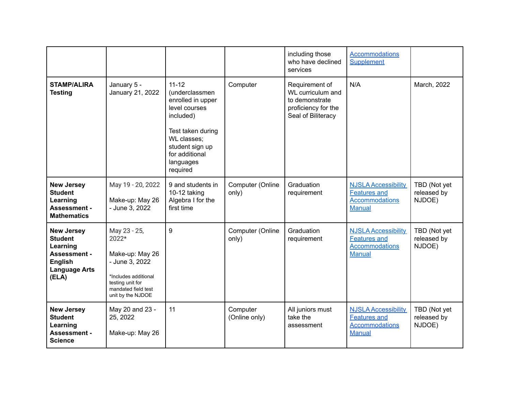|                                                                                                                           |                                                                                                                                                    |                                                                                                                                                                                  |                           | including those<br>who have declined<br>services                                                   | <b>Accommodations</b><br>Supplement                                                         |                                       |
|---------------------------------------------------------------------------------------------------------------------------|----------------------------------------------------------------------------------------------------------------------------------------------------|----------------------------------------------------------------------------------------------------------------------------------------------------------------------------------|---------------------------|----------------------------------------------------------------------------------------------------|---------------------------------------------------------------------------------------------|---------------------------------------|
| <b>STAMP/ALIRA</b><br><b>Testing</b>                                                                                      | January 5 -<br>January 21, 2022                                                                                                                    | $11 - 12$<br>(underclassmen<br>enrolled in upper<br>level courses<br>included)<br>Test taken during<br>WL classes;<br>student sign up<br>for additional<br>languages<br>required | Computer                  | Requirement of<br>WL curriculum and<br>to demonstrate<br>proficiency for the<br>Seal of Biliteracy | N/A                                                                                         | March, 2022                           |
| <b>New Jersey</b><br><b>Student</b><br>Learning<br><b>Assessment -</b><br><b>Mathematics</b>                              | May 19 - 20, 2022<br>Make-up: May 26<br>- June 3, 2022                                                                                             | 9 and students in<br>10-12 taking<br>Algebra I for the<br>first time                                                                                                             | Computer (Online<br>only) | Graduation<br>requirement                                                                          | <b>NJSLA Accessibility</b><br><b>Features and</b><br><b>Accommodations</b><br><b>Manual</b> | TBD (Not yet<br>released by<br>NJDOE) |
| <b>New Jersey</b><br><b>Student</b><br>Learning<br><b>Assessment -</b><br><b>English</b><br><b>Language Arts</b><br>(ELA) | May 23 - 25,<br>2022*<br>Make-up: May 26<br>- June 3, 2022<br>*Includes additional<br>testing unit for<br>mandated field test<br>unit by the NJDOE | 9                                                                                                                                                                                | Computer (Online<br>only) | Graduation<br>requirement                                                                          | <b>NJSLA Accessibility</b><br><b>Features and</b><br><b>Accommodations</b><br>Manual        | TBD (Not yet<br>released by<br>NJDOE) |
| <b>New Jersey</b><br><b>Student</b><br>Learning<br><b>Assessment -</b><br><b>Science</b>                                  | May 20 and 23 -<br>25, 2022<br>Make-up: May 26                                                                                                     | 11                                                                                                                                                                               | Computer<br>(Online only) | All juniors must<br>take the<br>assessment                                                         | <b>NJSLA Accessibility</b><br><b>Features and</b><br><b>Accommodations</b><br><b>Manual</b> | TBD (Not yet<br>released by<br>NJDOE) |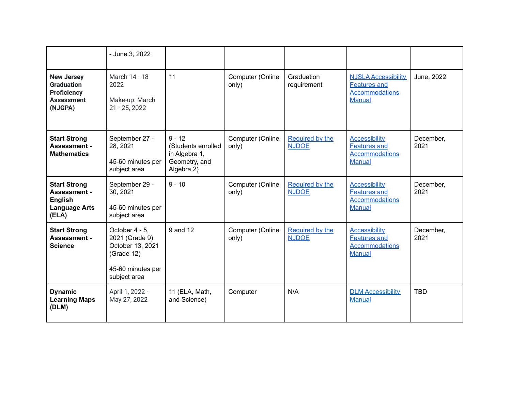|                                                                                               | - June 3, 2022                                                                                          |                                                                                |                           |                                 |                                                                                             |                   |
|-----------------------------------------------------------------------------------------------|---------------------------------------------------------------------------------------------------------|--------------------------------------------------------------------------------|---------------------------|---------------------------------|---------------------------------------------------------------------------------------------|-------------------|
| <b>New Jersey</b><br><b>Graduation</b><br><b>Proficiency</b><br><b>Assessment</b><br>(NJGPA)  | March 14 - 18<br>2022<br>Make-up: March<br>21 - 25, 2022                                                | 11                                                                             | Computer (Online<br>only) | Graduation<br>requirement       | <b>NJSLA Accessibility</b><br><b>Features and</b><br><b>Accommodations</b><br><b>Manual</b> | June, 2022        |
| <b>Start Strong</b><br><b>Assessment -</b><br><b>Mathematics</b>                              | September 27 -<br>28, 2021<br>45-60 minutes per<br>subject area                                         | $9 - 12$<br>(Students enrolled<br>in Algebra 1,<br>Geometry, and<br>Algebra 2) | Computer (Online<br>only) | Required by the<br><b>NJDOE</b> | <b>Accessibility</b><br><b>Features and</b><br><b>Accommodations</b><br><b>Manual</b>       | December,<br>2021 |
| <b>Start Strong</b><br><b>Assessment -</b><br><b>English</b><br><b>Language Arts</b><br>(ELA) | September 29 -<br>30, 2021<br>45-60 minutes per<br>subject area                                         | $9 - 10$                                                                       | Computer (Online<br>only) | Required by the<br><b>NJDOE</b> | <b>Accessibility</b><br><b>Features and</b><br><b>Accommodations</b><br><b>Manual</b>       | December,<br>2021 |
| <b>Start Strong</b><br><b>Assessment -</b><br><b>Science</b>                                  | October 4 - 5,<br>2021 (Grade 9)<br>October 13, 2021<br>(Grade 12)<br>45-60 minutes per<br>subject area | 9 and 12                                                                       | Computer (Online<br>only) | Required by the<br><b>NJDOE</b> | <b>Accessibility</b><br><b>Features and</b><br><b>Accommodations</b><br><b>Manual</b>       | December,<br>2021 |
| <b>Dynamic</b><br><b>Learning Maps</b><br>(DLM)                                               | April 1, 2022 -<br>May 27, 2022                                                                         | 11 (ELA, Math,<br>and Science)                                                 | Computer                  | N/A                             | <b>DLM Accessibility</b><br><b>Manual</b>                                                   | <b>TBD</b>        |